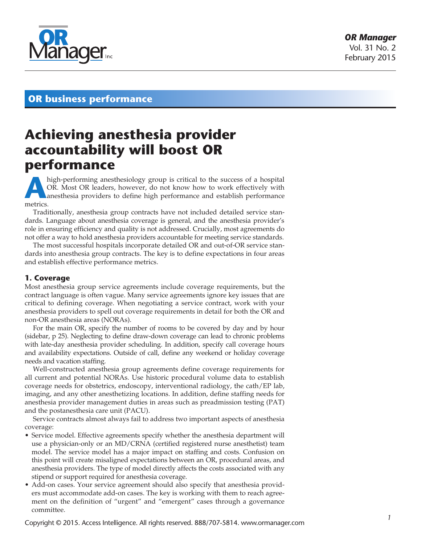

### **OR business performance**

# **Achieving anesthesia provider accountability will boost OR performance**

A **A** high-performing anesthesiology group is critical to the success of a hospital OR. Most OR leaders, however, do not know how to work effectively with anesthesia providers to define high performance and establish perfo OR. Most OR leaders, however, do not know how to work effectively with metrics.

Traditionally, anesthesia group contracts have not included detailed service standards. Language about anesthesia coverage is general, and the anesthesia provider's role in ensuring efficiency and quality is not addressed. Crucially, most agreements do not offer a way to hold anesthesia providers accountable for meeting service standards.

The most successful hospitals incorporate detailed OR and out-of-OR service standards into anesthesia group contracts. The key is to define expectations in four areas and establish effective performance metrics.

### **1. Coverage**

Most anesthesia group service agreements include coverage requirements, but the contract language is often vague. Many service agreements ignore key issues that are critical to defining coverage. When negotiating a service contract, work with your anesthesia providers to spell out coverage requirements in detail for both the OR and non-OR anesthesia areas (NORAs).

For the main OR, specify the number of rooms to be covered by day and by hour (sidebar, p 25). Neglecting to define draw-down coverage can lead to chronic problems with late-day anesthesia provider scheduling. In addition, specify call coverage hours and availability expectations. Outside of call, define any weekend or holiday coverage needs and vacation staffing.

Well-constructed anesthesia group agreements define coverage requirements for all current and potential NORAs. Use historic procedural volume data to establish coverage needs for obstetrics, endoscopy, interventional radiology, the cath/EP lab, imaging, and any other anesthetizing locations. In addition, define staffing needs for anesthesia provider management duties in areas such as preadmission testing (PAT) and the postanesthesia care unit (PACU).

Service contracts almost always fail to address two important aspects of anesthesia coverage:

- Service model. Effective agreements specify whether the anesthesia department will use a physician-only or an MD/CRNA (certified registered nurse anesthetist) team model. The service model has a major impact on staffing and costs. Confusion on this point will create misaligned expectations between an OR, procedural areas, and anesthesia providers. The type of model directly affects the costs associated with any stipend or support required for anesthesia coverage.
- Add-on cases. Your service agreement should also specify that anesthesia providers must accommodate add-on cases. The key is working with them to reach agreement on the definition of "urgent" and "emergent" cases through a governance committee.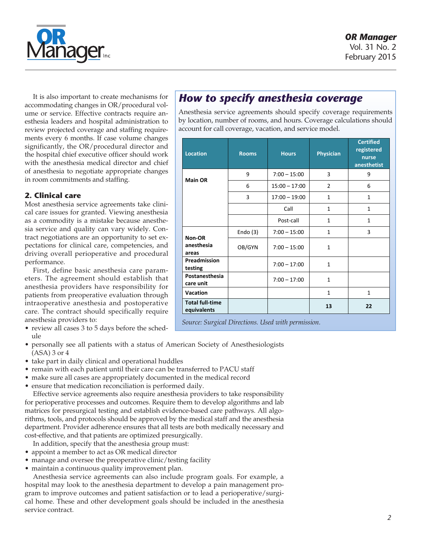

February 2015

It is also important to create mechanisms for accommodating changes in OR/procedural volume or service. Effective contracts require anesthesia leaders and hospital administration to review projected coverage and staffing requirements every 6 months. If case volume changes significantly, the OR/procedural director and the hospital chief executive officer should work with the anesthesia medical director and chief of anesthesia to negotiate appropriate changes in room commitments and staffing.

### **2. Clinical care**

Most anesthesia service agreements take clinical care issues for granted. Viewing anesthesia as a commodity is a mistake because anesthesia service and quality can vary widely. Contract negotiations are an opportunity to set expectations for clinical care, competencies, and driving overall perioperative and procedural performance.

First, define basic anesthesia care parameters. The agreement should establish that anesthesia providers have responsibility for patients from preoperative evaluation through intraoperative anesthesia and postoperative care. The contract should specifically require anesthesia providers to:

- review all cases 3 to 5 days before the schedule
- personally see all patients with a status of American Society of Anesthesiologists (ASA) 3 or 4
- take part in daily clinical and operational huddles
- remain with each patient until their care can be transferred to PACU staff
- make sure all cases are appropriately documented in the medical record
- ensure that medication reconciliation is performed daily.

Effective service agreements also require anesthesia providers to take responsibility for perioperative processes and outcomes. Require them to develop algorithms and lab matrices for presurgical testing and establish evidence-based care pathways. All algorithms, tools, and protocols should be approved by the medical staff and the anesthesia department. Provider adherence ensures that all tests are both medically necessary and cost-effective, and that patients are optimized presurgically.

- In addition, specify that the anesthesia group must:
- appoint a member to act as OR medical director
- manage and oversee the preoperative clinic/testing facility
- maintain a continuous quality improvement plan.

Anesthesia service agreements can also include program goals. For example, a hospital may look to the anesthesia department to develop a pain management program to improve outcomes and patient satisfaction or to lead a perioperative/surgical home. These and other development goals should be included in the anesthesia service contract.

## **How to specify anesthesia coverage**

Anesthesia service agreements should specify coverage requirements by location, number of rooms, and hours. Coverage calculations should account for call coverage, vacation, and service model.

| Location                              | <b>Rooms</b> | <b>Hours</b>    | <b>Physician</b> | <b>Certified</b><br>registered<br>nurse<br>anesthetist |
|---------------------------------------|--------------|-----------------|------------------|--------------------------------------------------------|
| <b>Main OR</b>                        | 9            | $7:00 - 15:00$  | 3                | 9                                                      |
|                                       | 6            | $15:00 - 17:00$ | $\overline{2}$   | 6                                                      |
|                                       | 3            | $17:00 - 19:00$ | $\mathbf{1}$     | $\mathbf{1}$                                           |
|                                       |              | Call            | $\mathbf{1}$     | $\mathbf{1}$                                           |
|                                       |              | Post-call       | $\mathbf{1}$     | $\mathbf{1}$                                           |
| Non-OR                                | Endo $(3)$   | $7:00 - 15:00$  | $\mathbf{1}$     | 3                                                      |
| anesthesia<br>areas                   | OB/GYN       | $7:00 - 15:00$  | $\mathbf{1}$     |                                                        |
| Preadmission<br>testing               |              | $7:00 - 17:00$  | $\mathbf{1}$     |                                                        |
| Postanesthesia<br>care unit           |              | $7:00 - 17:00$  | $\mathbf{1}$     |                                                        |
| Vacation                              |              |                 | $\mathbf{1}$     | $\mathbf{1}$                                           |
| <b>Total full-time</b><br>equivalents |              |                 | 13               | 22                                                     |

*Source: Surgical Directions. Used with permission.*  $\mathcal{P}^{\text{max}}_{\text{max}}$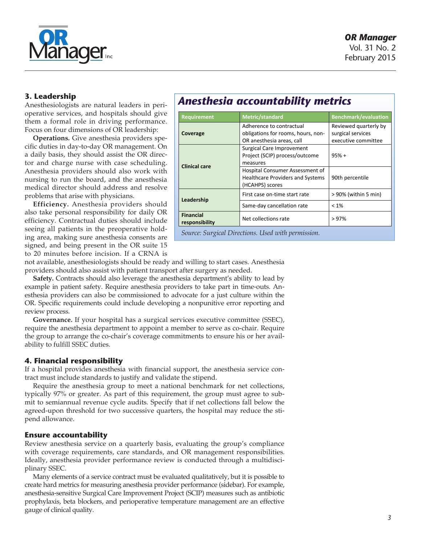

### **3. Leadership**

Anesthesiologists are natural leaders in perioperative services, and hospitals should give them a formal role in driving performance. Focus on four dimensions of OR leadership:

**Operations.** Give anesthesia providers specific duties in day-to-day OR management. On a daily basis, they should assist the OR director and charge nurse with case scheduling. Anesthesia providers should also work with nursing to run the board, and the anesthesia medical director should address and resolve problems that arise with physicians.

**Efficiency.** Anesthesia providers should also take personal responsibility for daily OR efficiency. Contractual duties should include seeing all patients in the preoperative holding area, making sure anesthesia consents are signed, and being present in the OR suite 15 to 20 minutes before incision. If a CRNA is

## **Anesthesia accountability metrics**

=\*,%'\$R(=,%0/'+-(S/%\$')/\*&1T(U1\$"(9/)#(@\$%3/11/\*&T

| Requirement                                                | <b>Metric/standard</b>                                                                        | <b>Benchmark/evaluation</b> |  |  |
|------------------------------------------------------------|-----------------------------------------------------------------------------------------------|-----------------------------|--|--|
| Coverage                                                   | Adherence to contractual<br>obligations for rooms, hours, non-<br>OR anesthesia areas, call   |                             |  |  |
| <b>Clinical care</b>                                       | Surgical Care Improvement<br>Project (SCIP) process/outcome<br>measures                       | $95% +$                     |  |  |
|                                                            | Hospital Consumer Assessment of<br><b>Healthcare Providers and Systems</b><br>(HCAHPS) scores | 90th percentile             |  |  |
| Leadership                                                 | First case on-time start rate                                                                 | > 90% (within 5 min)        |  |  |
|                                                            | Same-day cancellation rate                                                                    | $< 1\%$                     |  |  |
| <b>Financial</b><br>Net collections rate<br>responsibility |                                                                                               | >97%                        |  |  |
| Source: Surgical Directions. Used with permission.         |                                                                                               |                             |  |  |

not available, anesthesiologists should be ready and willing to start cases. Anesthesia providers should also assist with patient transport after surgery as needed.

**Safety.** Contracts should also leverage the anesthesia department's ability to lead by example in patient safety. Require anesthesia providers to take part in time-outs. Anesthesia providers can also be commissioned to advocate for a just culture within the OR. Specific requirements could include developing a nonpunitive error reporting and review process.

**Governance.** If your hospital has a surgical services executive committee (SSEC), require the anesthesia department to appoint a member to serve as co-chair. Require the group to arrange the co-chair's coverage commitments to ensure his or her availability to fulfill SSEC duties.

### **4. Financial responsibility**

If a hospital provides anesthesia with financial support, the anesthesia service contract must include standards to justify and validate the stipend.

Require the anesthesia group to meet a national benchmark for net collections, typically 97% or greater. As part of this requirement, the group must agree to submit to semiannual revenue cycle audits. Specify that if net collections fall below the agreed-upon threshold for two successive quarters, the hospital may reduce the stipend allowance.

### **Ensure accountability**

Review anesthesia service on a quarterly basis, evaluating the group's compliance with coverage requirements, care standards, and OR management responsibilities. Ideally, anesthesia provider performance review is conducted through a multidisciplinary SSEC.

Many elements of a service contract must be evaluated qualitatively, but it is possible to create hard metrics for measuring anesthesia provider performance (sidebar). For example, anesthesia-sensitive Surgical Care Improvement Project (SCIP) measures such as antibiotic prophylaxis, beta blockers, and perioperative temperature management are an effective gauge of clinical quality.